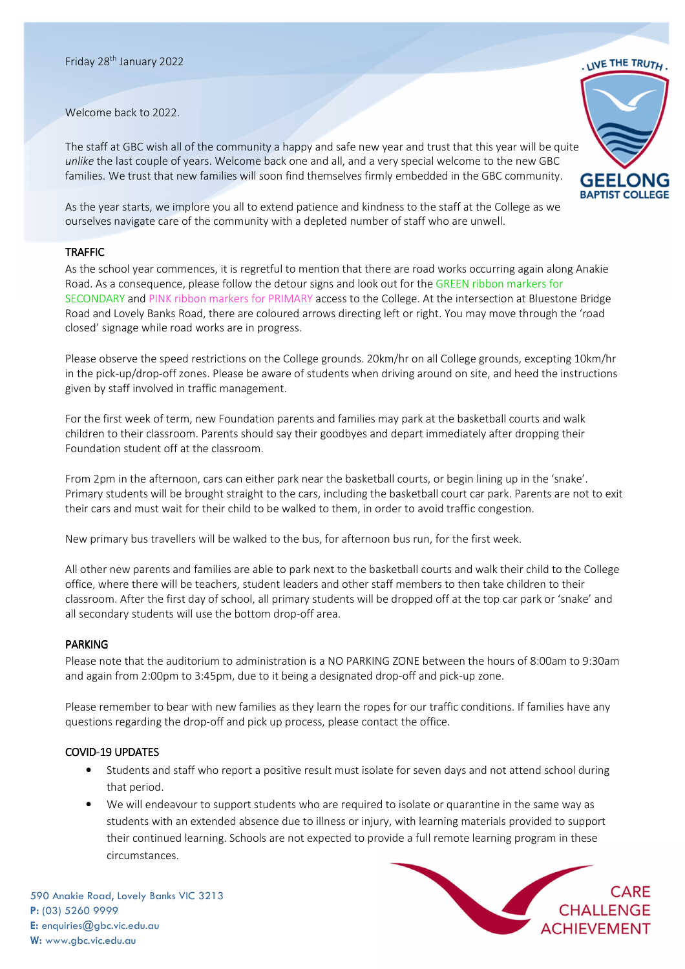Welcome back to 2022.

The staff at GBC wish all of the community a happy and safe new year and trust that this year will be quite unlike the last couple of years. Welcome back one and all, and a very special welcome to the new GBC families. We trust that new families will soon find themselves firmly embedded in the GBC community.

As the year starts, we implore you all to extend patience and kindness to the staff at the College as we ourselves navigate care of the community with a depleted number of staff who are unwell.

## **TRAFFIC**

As the school year commences, it is regretful to mention that there are road works occurring again along Anakie Road. As a consequence, please follow the detour signs and look out for the GREEN ribbon markers for SECONDARY and PINK ribbon markers for PRIMARY access to the College. At the intersection at Bluestone Bridge Road and Lovely Banks Road, there are coloured arrows directing left or right. You may move through the 'road closed' signage while road works are in progress.

Please observe the speed restrictions on the College grounds. 20km/hr on all College grounds, excepting 10km/hr in the pick-up/drop-off zones. Please be aware of students when driving around on site, and heed the instructions given by staff involved in traffic management.

For the first week of term, new Foundation parents and families may park at the basketball courts and walk children to their classroom. Parents should say their goodbyes and depart immediately after dropping their Foundation student off at the classroom.

From 2pm in the afternoon, cars can either park near the basketball courts, or begin lining up in the 'snake'. Primary students will be brought straight to the cars, including the basketball court car park. Parents are not to exit their cars and must wait for their child to be walked to them, in order to avoid traffic congestion.

New primary bus travellers will be walked to the bus, for afternoon bus run, for the first week.

All other new parents and families are able to park next to the basketball courts and walk their child to the College office, where there will be teachers, student leaders and other staff members to then take children to their classroom. After the first day of school, all primary students will be dropped off at the top car park or 'snake' and all secondary students will use the bottom drop-off area.

## **PARKING**

Please note that the auditorium to administration is a NO PARKING ZONE between the hours of 8:00am to 9:30am and again from 2:00pm to 3:45pm, due to it being a designated drop-off and pick-up zone.

Please remember to bear with new families as they learn the ropes for our traffic conditions. If families have any questions regarding the drop-off and pick up process, please contact the office.

## **COVID-19 UPDATES**

- Students and staff who report a positive result must isolate for seven days and not attend school during that period.
- We will endeavour to support students who are required to isolate or quarantine in the same way as students with an extended absence due to illness or injury, with learning materials provided to support their continued learning. Schools are not expected to provide a full remote learning program in these circumstances.

590 Anakie Road, Lovely Banks VIC 3213 P: (03) 5260 9999 E: enquiries@gbc.vic.edu.au W: www.gbc.vic.edu.au